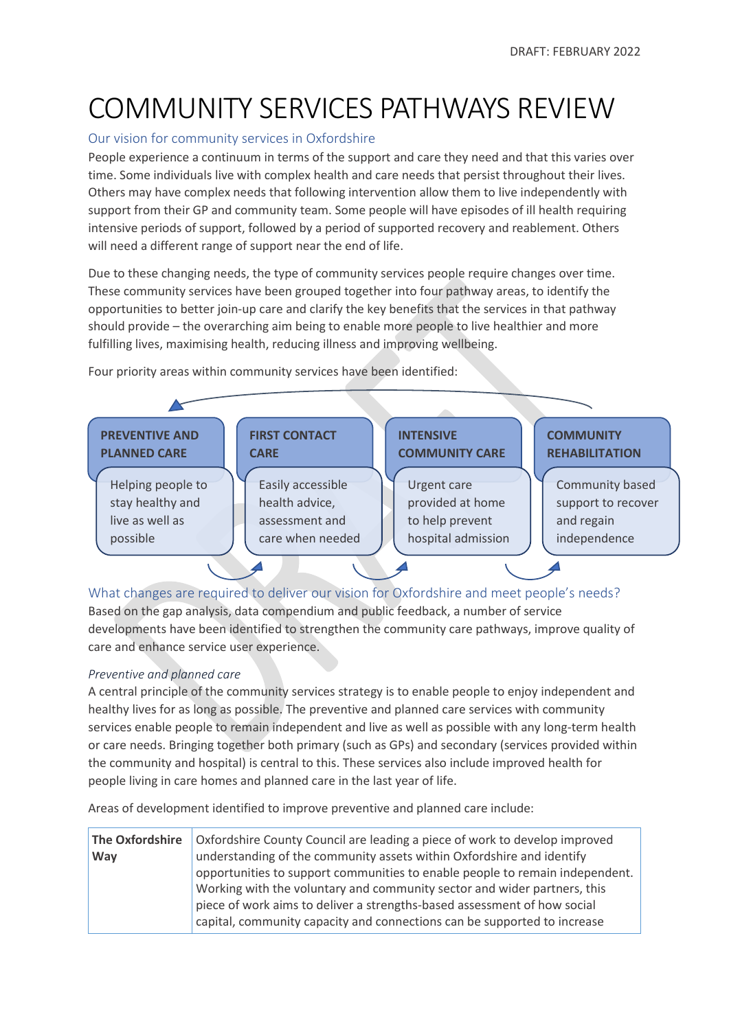# COMMUNITY SERVICES PATHWAYS REVIEW

## Our vision for community services in Oxfordshire

People experience a continuum in terms of the support and care they need and that this varies over time. Some individuals live with complex health and care needs that persist throughout their lives. Others may have complex needs that following intervention allow them to live independently with support from their GP and community team. Some people will have episodes of ill health requiring intensive periods of support, followed by a period of supported recovery and reablement. Others will need a different range of support near the end of life.

Due to these changing needs, the type of community services people require changes over time. These community services have been grouped together into four pathway areas, to identify the opportunities to better join-up care and clarify the key benefits that the services in that pathway should provide – the overarching aim being to enable more people to live healthier and more fulfilling lives, maximising health, reducing illness and improving wellbeing.



Four priority areas within community services have been identified:

What changes are required to deliver our vision for Oxfordshire and meet people's needs? Based on the gap analysis, data compendium and public feedback, a number of service developments have been identified to strengthen the community care pathways, improve quality of

## *Preventive and planned care*

care and enhance service user experience.

A central principle of the community services strategy is to enable people to enjoy independent and healthy lives for as long as possible. The preventive and planned care services with community services enable people to remain independent and live as well as possible with any long-term health or care needs. Bringing together both primary (such as GPs) and secondary (services provided within the community and hospital) is central to this. These services also include improved health for people living in care homes and planned care in the last year of life.

Areas of development identified to improve preventive and planned care include:

| The Oxfordshire                                                          | Oxfordshire County Council are leading a piece of work to develop improved   |  |
|--------------------------------------------------------------------------|------------------------------------------------------------------------------|--|
| Way                                                                      | understanding of the community assets within Oxfordshire and identify        |  |
|                                                                          | opportunities to support communities to enable people to remain independent. |  |
|                                                                          | Working with the voluntary and community sector and wider partners, this     |  |
| piece of work aims to deliver a strengths-based assessment of how social |                                                                              |  |
|                                                                          | capital, community capacity and connections can be supported to increase     |  |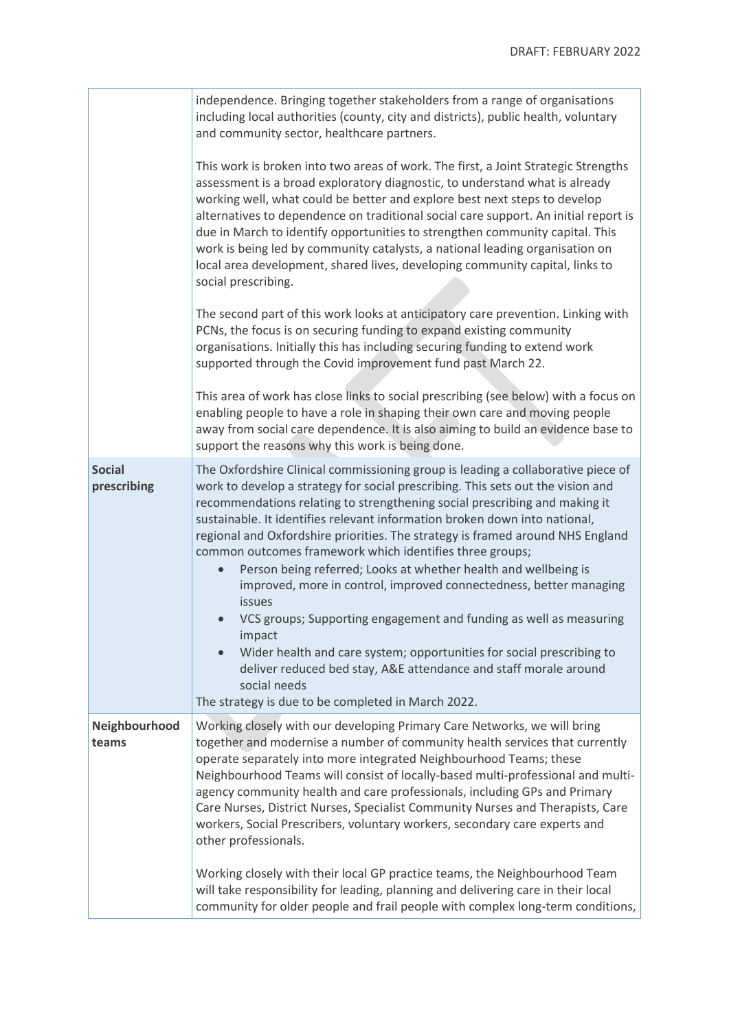|                              | independence. Bringing together stakeholders from a range of organisations<br>including local authorities (county, city and districts), public health, voluntary<br>and community sector, healthcare partners.                                                                                                                                                                                                                                                                                                                                                                                                                                                                                                                                                                                                                                                                                                                                   |
|------------------------------|--------------------------------------------------------------------------------------------------------------------------------------------------------------------------------------------------------------------------------------------------------------------------------------------------------------------------------------------------------------------------------------------------------------------------------------------------------------------------------------------------------------------------------------------------------------------------------------------------------------------------------------------------------------------------------------------------------------------------------------------------------------------------------------------------------------------------------------------------------------------------------------------------------------------------------------------------|
|                              | This work is broken into two areas of work. The first, a Joint Strategic Strengths<br>assessment is a broad exploratory diagnostic, to understand what is already<br>working well, what could be better and explore best next steps to develop<br>alternatives to dependence on traditional social care support. An initial report is<br>due in March to identify opportunities to strengthen community capital. This<br>work is being led by community catalysts, a national leading organisation on<br>local area development, shared lives, developing community capital, links to<br>social prescribing.                                                                                                                                                                                                                                                                                                                                     |
|                              | The second part of this work looks at anticipatory care prevention. Linking with<br>PCNs, the focus is on securing funding to expand existing community<br>organisations. Initially this has including securing funding to extend work<br>supported through the Covid improvement fund past March 22.                                                                                                                                                                                                                                                                                                                                                                                                                                                                                                                                                                                                                                            |
|                              | This area of work has close links to social prescribing (see below) with a focus on<br>enabling people to have a role in shaping their own care and moving people<br>away from social care dependence. It is also aiming to build an evidence base to<br>support the reasons why this work is being done.                                                                                                                                                                                                                                                                                                                                                                                                                                                                                                                                                                                                                                        |
| <b>Social</b><br>prescribing | The Oxfordshire Clinical commissioning group is leading a collaborative piece of<br>work to develop a strategy for social prescribing. This sets out the vision and<br>recommendations relating to strengthening social prescribing and making it<br>sustainable. It identifies relevant information broken down into national,<br>regional and Oxfordshire priorities. The strategy is framed around NHS England<br>common outcomes framework which identifies three groups;<br>Person being referred; Looks at whether health and wellbeing is<br>improved, more in control, improved connectedness, better managing<br>issues<br>VCS groups; Supporting engagement and funding as well as measuring<br>impact<br>Wider health and care system; opportunities for social prescribing to<br>$\bullet$<br>deliver reduced bed stay, A&E attendance and staff morale around<br>social needs<br>The strategy is due to be completed in March 2022. |
| Neighbourhood<br>teams       | Working closely with our developing Primary Care Networks, we will bring<br>together and modernise a number of community health services that currently<br>operate separately into more integrated Neighbourhood Teams; these<br>Neighbourhood Teams will consist of locally-based multi-professional and multi-<br>agency community health and care professionals, including GPs and Primary<br>Care Nurses, District Nurses, Specialist Community Nurses and Therapists, Care<br>workers, Social Prescribers, voluntary workers, secondary care experts and<br>other professionals.<br>Working closely with their local GP practice teams, the Neighbourhood Team                                                                                                                                                                                                                                                                              |
|                              | will take responsibility for leading, planning and delivering care in their local<br>community for older people and frail people with complex long-term conditions,                                                                                                                                                                                                                                                                                                                                                                                                                                                                                                                                                                                                                                                                                                                                                                              |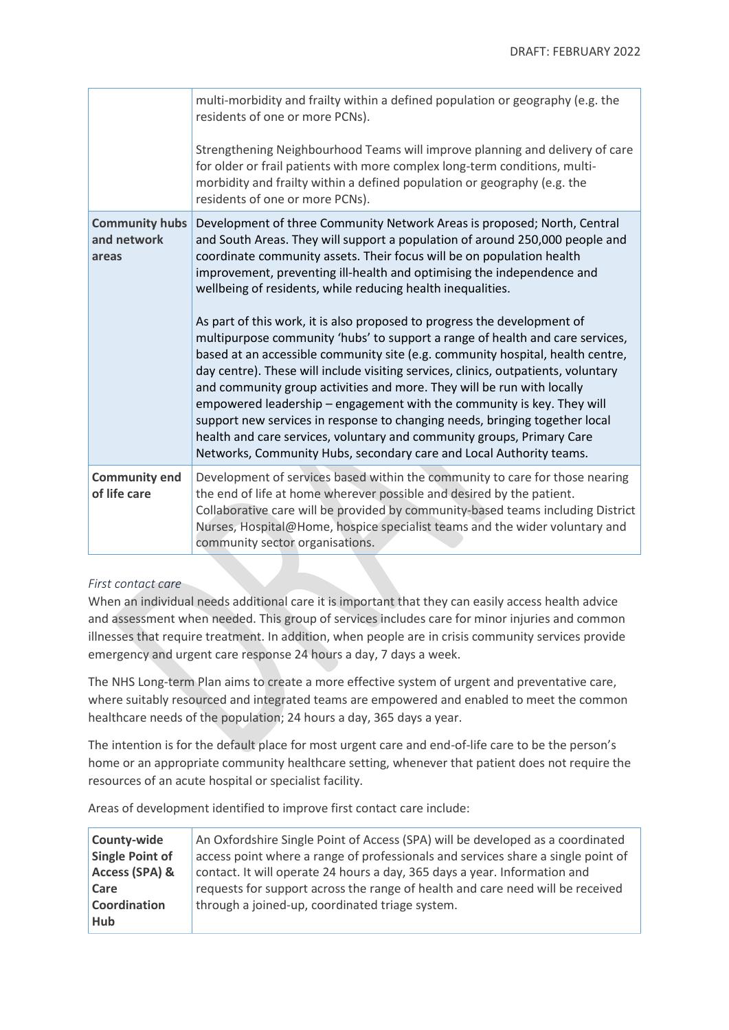|                                               | multi-morbidity and frailty within a defined population or geography (e.g. the<br>residents of one or more PCNs).<br>Strengthening Neighbourhood Teams will improve planning and delivery of care<br>for older or frail patients with more complex long-term conditions, multi-                                                                                                                                                                                                                                                                                                                                                                                                                                                                                                                                                                                                                                                                                                                                                                                                                     |
|-----------------------------------------------|-----------------------------------------------------------------------------------------------------------------------------------------------------------------------------------------------------------------------------------------------------------------------------------------------------------------------------------------------------------------------------------------------------------------------------------------------------------------------------------------------------------------------------------------------------------------------------------------------------------------------------------------------------------------------------------------------------------------------------------------------------------------------------------------------------------------------------------------------------------------------------------------------------------------------------------------------------------------------------------------------------------------------------------------------------------------------------------------------------|
|                                               | morbidity and frailty within a defined population or geography (e.g. the<br>residents of one or more PCNs).                                                                                                                                                                                                                                                                                                                                                                                                                                                                                                                                                                                                                                                                                                                                                                                                                                                                                                                                                                                         |
| <b>Community hubs</b><br>and network<br>areas | Development of three Community Network Areas is proposed; North, Central<br>and South Areas. They will support a population of around 250,000 people and<br>coordinate community assets. Their focus will be on population health<br>improvement, preventing ill-health and optimising the independence and<br>wellbeing of residents, while reducing health inequalities.<br>As part of this work, it is also proposed to progress the development of<br>multipurpose community 'hubs' to support a range of health and care services,<br>based at an accessible community site (e.g. community hospital, health centre,<br>day centre). These will include visiting services, clinics, outpatients, voluntary<br>and community group activities and more. They will be run with locally<br>empowered leadership – engagement with the community is key. They will<br>support new services in response to changing needs, bringing together local<br>health and care services, voluntary and community groups, Primary Care<br>Networks, Community Hubs, secondary care and Local Authority teams. |
| <b>Community end</b><br>of life care          | Development of services based within the community to care for those nearing<br>the end of life at home wherever possible and desired by the patient.<br>Collaborative care will be provided by community-based teams including District<br>Nurses, Hospital@Home, hospice specialist teams and the wider voluntary and<br>community sector organisations.                                                                                                                                                                                                                                                                                                                                                                                                                                                                                                                                                                                                                                                                                                                                          |

## *First contact care*

When an individual needs additional care it is important that they can easily access health advice and assessment when needed. This group of services includes care for minor injuries and common illnesses that require treatment. In addition, when people are in crisis community services provide emergency and urgent care response 24 hours a day, 7 days a week.

The NHS Long-term Plan aims to create a more effective system of urgent and preventative care, where suitably resourced and integrated teams are empowered and enabled to meet the common healthcare needs of the population; 24 hours a day, 365 days a year.

The intention is for the default place for most urgent care and end-of-life care to be the person's home or an appropriate community healthcare setting, whenever that patient does not require the resources of an acute hospital or specialist facility.

Areas of development identified to improve first contact care include:

| County-wide     | An Oxfordshire Single Point of Access (SPA) will be developed as a coordinated   |
|-----------------|----------------------------------------------------------------------------------|
| Single Point of | access point where a range of professionals and services share a single point of |
| Access (SPA) &  | contact. It will operate 24 hours a day, 365 days a year. Information and        |
| Care            | requests for support across the range of health and care need will be received   |
| Coordination    | through a joined-up, coordinated triage system.                                  |
| <b>Hub</b>      |                                                                                  |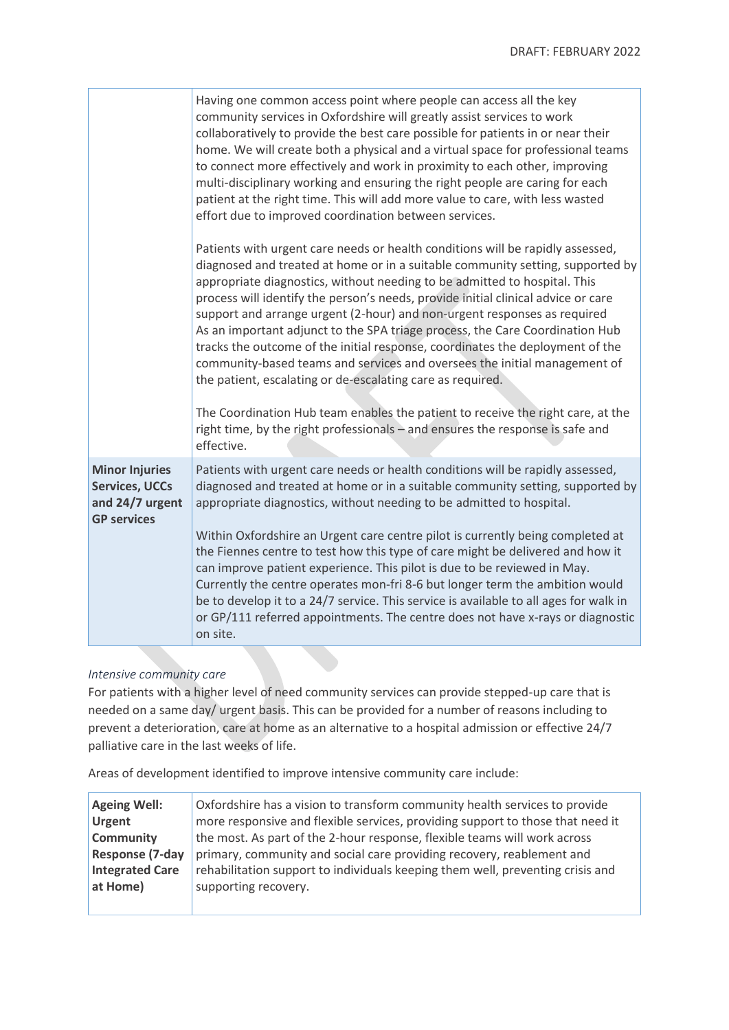|                                                                                         | Having one common access point where people can access all the key<br>community services in Oxfordshire will greatly assist services to work<br>collaboratively to provide the best care possible for patients in or near their<br>home. We will create both a physical and a virtual space for professional teams<br>to connect more effectively and work in proximity to each other, improving<br>multi-disciplinary working and ensuring the right people are caring for each<br>patient at the right time. This will add more value to care, with less wasted<br>effort due to improved coordination between services.                                                                                                                                      |  |  |
|-----------------------------------------------------------------------------------------|-----------------------------------------------------------------------------------------------------------------------------------------------------------------------------------------------------------------------------------------------------------------------------------------------------------------------------------------------------------------------------------------------------------------------------------------------------------------------------------------------------------------------------------------------------------------------------------------------------------------------------------------------------------------------------------------------------------------------------------------------------------------|--|--|
|                                                                                         | Patients with urgent care needs or health conditions will be rapidly assessed,<br>diagnosed and treated at home or in a suitable community setting, supported by<br>appropriate diagnostics, without needing to be admitted to hospital. This<br>process will identify the person's needs, provide initial clinical advice or care<br>support and arrange urgent (2-hour) and non-urgent responses as required<br>As an important adjunct to the SPA triage process, the Care Coordination Hub<br>tracks the outcome of the initial response, coordinates the deployment of the<br>community-based teams and services and oversees the initial management of<br>the patient, escalating or de-escalating care as required.                                      |  |  |
|                                                                                         | The Coordination Hub team enables the patient to receive the right care, at the<br>right time, by the right professionals - and ensures the response is safe and<br>effective.                                                                                                                                                                                                                                                                                                                                                                                                                                                                                                                                                                                  |  |  |
| <b>Minor Injuries</b><br><b>Services, UCCs</b><br>and 24/7 urgent<br><b>GP services</b> | Patients with urgent care needs or health conditions will be rapidly assessed,<br>diagnosed and treated at home or in a suitable community setting, supported by<br>appropriate diagnostics, without needing to be admitted to hospital.<br>Within Oxfordshire an Urgent care centre pilot is currently being completed at<br>the Fiennes centre to test how this type of care might be delivered and how it<br>can improve patient experience. This pilot is due to be reviewed in May.<br>Currently the centre operates mon-fri 8-6 but longer term the ambition would<br>be to develop it to a 24/7 service. This service is available to all ages for walk in<br>or GP/111 referred appointments. The centre does not have x-rays or diagnostic<br>on site. |  |  |

#### *Intensive community care*

For patients with a higher level of need community services can provide stepped-up care that is needed on a same day/ urgent basis. This can be provided for a number of reasons including to prevent a deterioration, care at home as an alternative to a hospital admission or effective 24/7 palliative care in the last weeks of life.

Areas of development identified to improve intensive community care include:

| <b>Ageing Well:</b>    | Oxfordshire has a vision to transform community health services to provide     |
|------------------------|--------------------------------------------------------------------------------|
| <b>Urgent</b>          | more responsive and flexible services, providing support to those that need it |
| <b>Community</b>       | the most. As part of the 2-hour response, flexible teams will work across      |
| <b>Response (7-day</b> | primary, community and social care providing recovery, reablement and          |
| <b>Integrated Care</b> | rehabilitation support to individuals keeping them well, preventing crisis and |
| at Home)               | supporting recovery.                                                           |
|                        |                                                                                |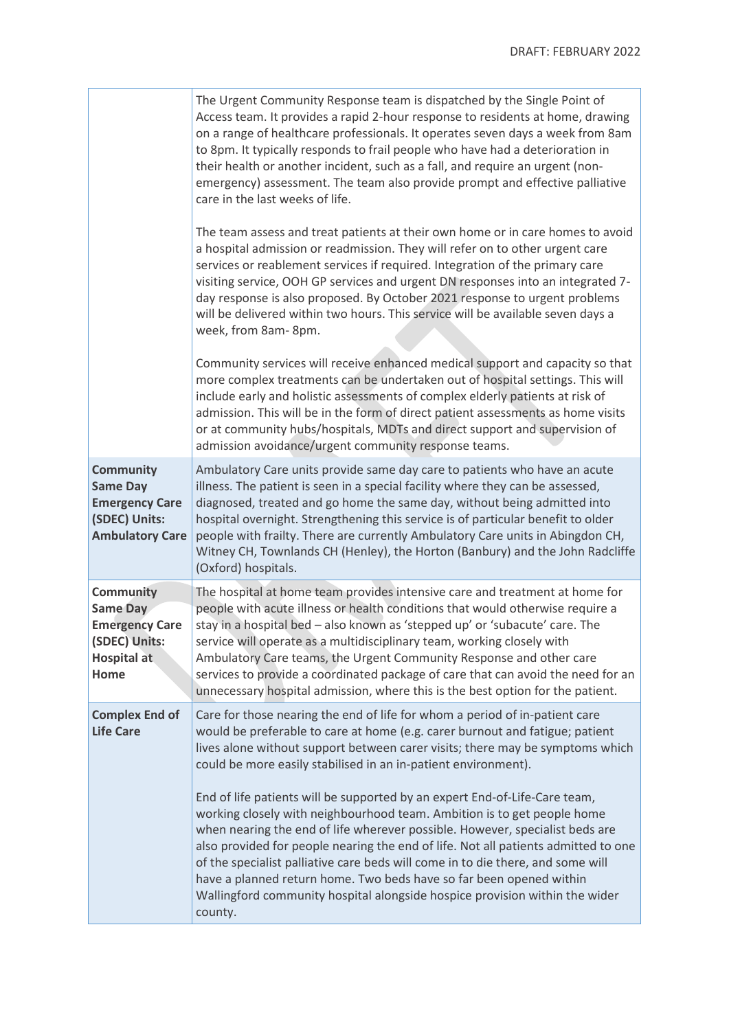ä

|                                                                                                         | The Urgent Community Response team is dispatched by the Single Point of<br>Access team. It provides a rapid 2-hour response to residents at home, drawing<br>on a range of healthcare professionals. It operates seven days a week from 8am<br>to 8pm. It typically responds to frail people who have had a deterioration in<br>their health or another incident, such as a fall, and require an urgent (non-<br>emergency) assessment. The team also provide prompt and effective palliative<br>care in the last weeks of life.<br>The team assess and treat patients at their own home or in care homes to avoid<br>a hospital admission or readmission. They will refer on to other urgent care<br>services or reablement services if required. Integration of the primary care<br>visiting service, OOH GP services and urgent DN responses into an integrated 7-<br>day response is also proposed. By October 2021 response to urgent problems<br>will be delivered within two hours. This service will be available seven days a<br>week, from 8am-8pm. |
|---------------------------------------------------------------------------------------------------------|---------------------------------------------------------------------------------------------------------------------------------------------------------------------------------------------------------------------------------------------------------------------------------------------------------------------------------------------------------------------------------------------------------------------------------------------------------------------------------------------------------------------------------------------------------------------------------------------------------------------------------------------------------------------------------------------------------------------------------------------------------------------------------------------------------------------------------------------------------------------------------------------------------------------------------------------------------------------------------------------------------------------------------------------------------------|
|                                                                                                         | Community services will receive enhanced medical support and capacity so that<br>more complex treatments can be undertaken out of hospital settings. This will<br>include early and holistic assessments of complex elderly patients at risk of<br>admission. This will be in the form of direct patient assessments as home visits<br>or at community hubs/hospitals, MDTs and direct support and supervision of<br>admission avoidance/urgent community response teams.                                                                                                                                                                                                                                                                                                                                                                                                                                                                                                                                                                                     |
| <b>Community</b><br><b>Same Day</b><br><b>Emergency Care</b><br>(SDEC) Units:<br><b>Ambulatory Care</b> | Ambulatory Care units provide same day care to patients who have an acute<br>illness. The patient is seen in a special facility where they can be assessed,<br>diagnosed, treated and go home the same day, without being admitted into<br>hospital overnight. Strengthening this service is of particular benefit to older<br>people with frailty. There are currently Ambulatory Care units in Abingdon CH,<br>Witney CH, Townlands CH (Henley), the Horton (Banbury) and the John Radcliffe<br>(Oxford) hospitals.                                                                                                                                                                                                                                                                                                                                                                                                                                                                                                                                         |
| <b>Community</b><br>Same Day<br><b>Emergency Care</b><br>(SDEC) Units:<br><b>Hospital at</b><br>Home    | The hospital at home team provides intensive care and treatment at home for<br>people with acute illness or health conditions that would otherwise require a<br>stay in a hospital bed - also known as 'stepped up' or 'subacute' care. The<br>service will operate as a multidisciplinary team, working closely with<br>Ambulatory Care teams, the Urgent Community Response and other care<br>services to provide a coordinated package of care that can avoid the need for an<br>unnecessary hospital admission, where this is the best option for the patient.                                                                                                                                                                                                                                                                                                                                                                                                                                                                                            |
| <b>Complex End of</b><br><b>Life Care</b>                                                               | Care for those nearing the end of life for whom a period of in-patient care<br>would be preferable to care at home (e.g. carer burnout and fatigue; patient<br>lives alone without support between carer visits; there may be symptoms which<br>could be more easily stabilised in an in-patient environment).<br>End of life patients will be supported by an expert End-of-Life-Care team,<br>working closely with neighbourhood team. Ambition is to get people home<br>when nearing the end of life wherever possible. However, specialist beds are<br>also provided for people nearing the end of life. Not all patients admitted to one<br>of the specialist palliative care beds will come in to die there, and some will<br>have a planned return home. Two beds have so far been opened within<br>Wallingford community hospital alongside hospice provision within the wider<br>county.                                                                                                                                                             |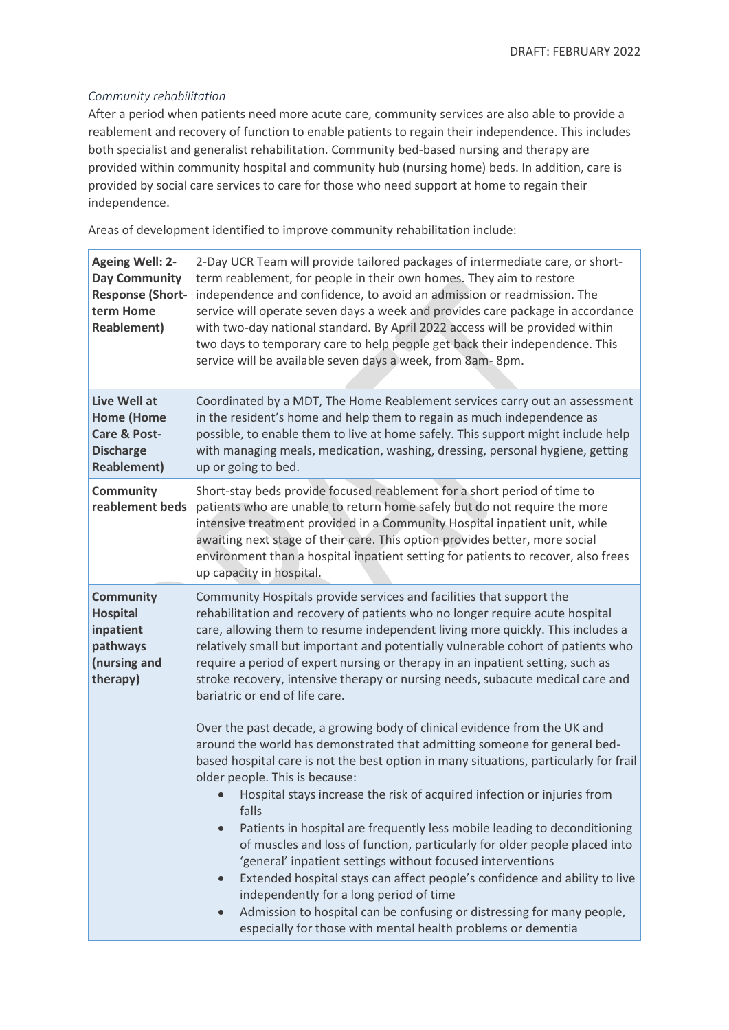#### *Community rehabilitation*

After a period when patients need more acute care, community services are also able to provide a reablement and recovery of function to enable patients to regain their independence. This includes both specialist and generalist rehabilitation. Community bed-based nursing and therapy are provided within community hospital and community hub (nursing home) beds. In addition, care is provided by social care services to care for those who need support at home to regain their independence.

Areas of development identified to improve community rehabilitation include:

| <b>Ageing Well: 2-</b><br><b>Day Community</b><br><b>Response (Short-</b><br>term Home<br><b>Reablement)</b> | 2-Day UCR Team will provide tailored packages of intermediate care, or short-<br>term reablement, for people in their own homes. They aim to restore<br>independence and confidence, to avoid an admission or readmission. The<br>service will operate seven days a week and provides care package in accordance<br>with two-day national standard. By April 2022 access will be provided within<br>two days to temporary care to help people get back their independence. This<br>service will be available seven days a week, from 8am-8pm.                                                                                                                                                                                                                                                                                                                                               |  |
|--------------------------------------------------------------------------------------------------------------|---------------------------------------------------------------------------------------------------------------------------------------------------------------------------------------------------------------------------------------------------------------------------------------------------------------------------------------------------------------------------------------------------------------------------------------------------------------------------------------------------------------------------------------------------------------------------------------------------------------------------------------------------------------------------------------------------------------------------------------------------------------------------------------------------------------------------------------------------------------------------------------------|--|
| Live Well at<br><b>Home (Home</b><br>Care & Post-<br><b>Discharge</b><br><b>Reablement)</b>                  | Coordinated by a MDT, The Home Reablement services carry out an assessment<br>in the resident's home and help them to regain as much independence as<br>possible, to enable them to live at home safely. This support might include help<br>with managing meals, medication, washing, dressing, personal hygiene, getting<br>up or going to bed.                                                                                                                                                                                                                                                                                                                                                                                                                                                                                                                                            |  |
| Community<br>reablement beds                                                                                 | Short-stay beds provide focused reablement for a short period of time to<br>patients who are unable to return home safely but do not require the more<br>intensive treatment provided in a Community Hospital inpatient unit, while<br>awaiting next stage of their care. This option provides better, more social<br>environment than a hospital inpatient setting for patients to recover, also frees<br>up capacity in hospital.                                                                                                                                                                                                                                                                                                                                                                                                                                                         |  |
| <b>Community</b><br><b>Hospital</b><br>inpatient<br>pathways<br>(nursing and<br>therapy)                     | Community Hospitals provide services and facilities that support the<br>rehabilitation and recovery of patients who no longer require acute hospital<br>care, allowing them to resume independent living more quickly. This includes a<br>relatively small but important and potentially vulnerable cohort of patients who<br>require a period of expert nursing or therapy in an inpatient setting, such as<br>stroke recovery, intensive therapy or nursing needs, subacute medical care and<br>bariatric or end of life care.                                                                                                                                                                                                                                                                                                                                                            |  |
|                                                                                                              | Over the past decade, a growing body of clinical evidence from the UK and<br>around the world has demonstrated that admitting someone for general bed-<br>based hospital care is not the best option in many situations, particularly for frail<br>older people. This is because:<br>Hospital stays increase the risk of acquired infection or injuries from<br>falls<br>Patients in hospital are frequently less mobile leading to deconditioning<br>$\bullet$<br>of muscles and loss of function, particularly for older people placed into<br>'general' inpatient settings without focused interventions<br>Extended hospital stays can affect people's confidence and ability to live<br>$\bullet$<br>independently for a long period of time<br>Admission to hospital can be confusing or distressing for many people,<br>especially for those with mental health problems or dementia |  |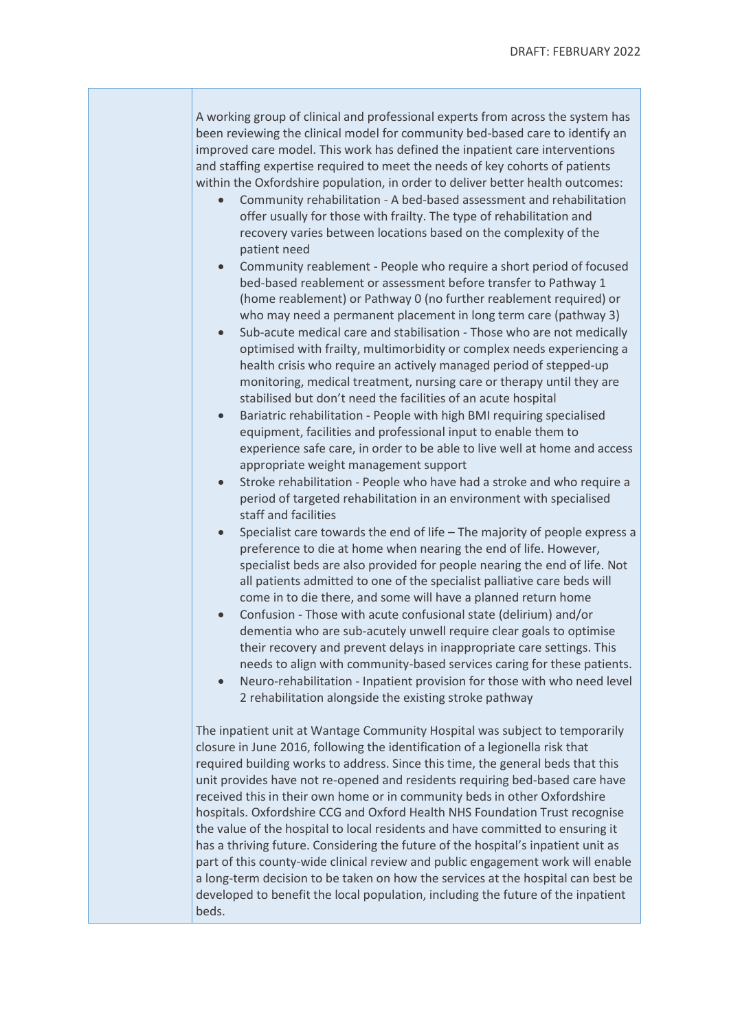A working group of clinical and professional experts from across the system has been reviewing the clinical model for community bed-based care to identify an improved care model. This work has defined the inpatient care interventions and staffing expertise required to meet the needs of key cohorts of patients within the Oxfordshire population, in order to deliver better health outcomes:

- Community rehabilitation A bed-based assessment and rehabilitation offer usually for those with frailty. The type of rehabilitation and recovery varies between locations based on the complexity of the patient need
- Community reablement People who require a short period of focused bed-based reablement or assessment before transfer to Pathway 1 (home reablement) or Pathway 0 (no further reablement required) or who may need a permanent placement in long term care (pathway 3)
- Sub-acute medical care and stabilisation Those who are not medically optimised with frailty, multimorbidity or complex needs experiencing a health crisis who require an actively managed period of stepped-up monitoring, medical treatment, nursing care or therapy until they are stabilised but don't need the facilities of an acute hospital
- Bariatric rehabilitation People with high BMI requiring specialised equipment, facilities and professional input to enable them to experience safe care, in order to be able to live well at home and access appropriate weight management support
- Stroke rehabilitation People who have had a stroke and who require a period of targeted rehabilitation in an environment with specialised staff and facilities
- Specialist care towards the end of life The majority of people express a preference to die at home when nearing the end of life. However, specialist beds are also provided for people nearing the end of life. Not all patients admitted to one of the specialist palliative care beds will come in to die there, and some will have a planned return home
- Confusion Those with acute confusional state (delirium) and/or dementia who are sub-acutely unwell require clear goals to optimise their recovery and prevent delays in inappropriate care settings. This needs to align with community-based services caring for these patients.
- Neuro-rehabilitation Inpatient provision for those with who need level 2 rehabilitation alongside the existing stroke pathway

The inpatient unit at Wantage Community Hospital was subject to temporarily closure in June 2016, following the identification of a legionella risk that required building works to address. Since this time, the general beds that this unit provides have not re-opened and residents requiring bed-based care have received this in their own home or in community beds in other Oxfordshire hospitals. Oxfordshire CCG and Oxford Health NHS Foundation Trust recognise the value of the hospital to local residents and have committed to ensuring it has a thriving future. Considering the future of the hospital's inpatient unit as part of this county-wide clinical review and public engagement work will enable a long-term decision to be taken on how the services at the hospital can best be developed to benefit the local population, including the future of the inpatient beds.